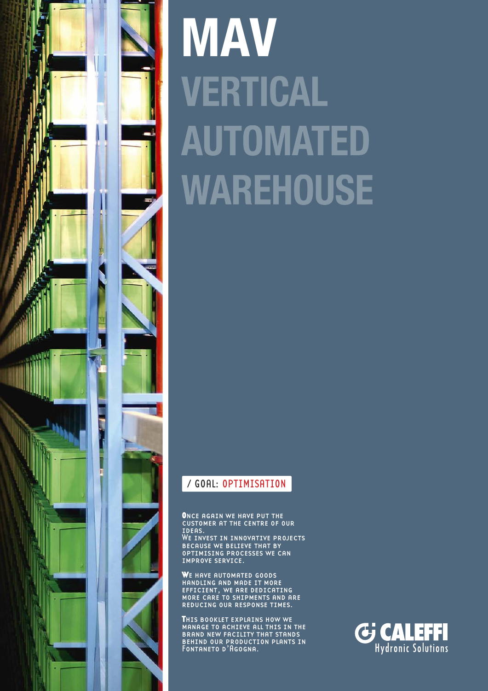

# **MAV VERTICAL AUTOMATED WAREHOUSE**

# / GOAL: OPTIMISATION

**O**nce again we have put the customer at the centre of our COSTOR<br>IDEAS.

We invest in innovative projects **BECAUSE WE BELIEVE THAT BY** optimising processes we can improve service.

**W**e have automated goods handling and made it more efficient, we are dedicating more care to shipments and are reducing our response times.

**THIS BOOKLET EXPLAINS HOW WE MANAGE TO ACHIEVE ALL THIS IN THE BRAND NEW FACILITY THAT STANDS** behind our production plants in BEHIND OOR FRODOCTI

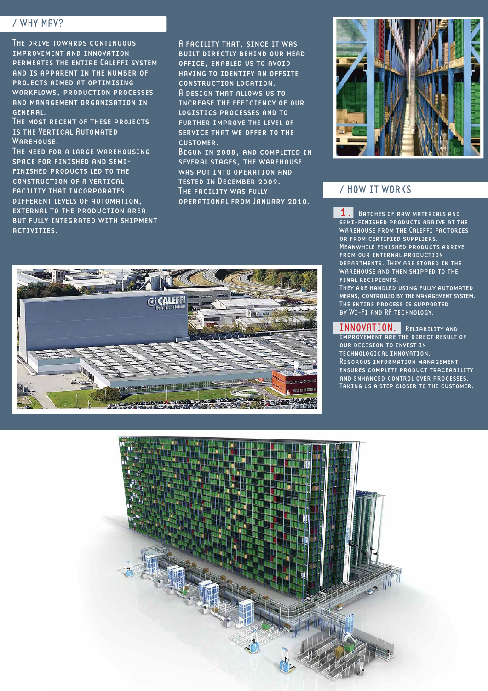### / WHY MAV?

The drive towards continuous improvement and innovation permeates the entire Caleffi system and is apparent in the number of projects aimed at optimising workflows, production processes and management organisation in general.

The most recent of these projects is the Vertical Automated WAREHOUSE.

THE NEED FOR A LARGE WAREHOUSING space for finished and semifinished products led to the construction of a vertical facility that incorporates different levels of automation, external to the production area but fully integrated with shipment activities.

A facility that, since it was built directly behind our head office, enabled us to avoid having to identify an offsite construction location. A design that allows us to increase the efficiency of our logistics processes and to further improve the level of service that we offer to the customer.

Begun in 2008, and completed in several stages, the warehouse was put into operation and tested in December 2009. The facility was fully operational from January 2010.





### / HOW IT WORKS

**1.** Batches of RAW MATERIALS AND semi-finished products arrive at the warehouse from the Caleffi factories or from certified suppliers. Meanwhile finished products arrive from our internal production departments. They are stored in the warehouse and then shipped to the final recipients. They are handled using fully automated

means, controlled by the management system. The entire process is supported by Wi-Fi and RF technology.

#### INNOVATION. Reliability and

improvement are the direct result of our decision to invest in technological innovation. Rigorous information management ensures complete product traceability and enhanced control over processes. Taking us a step closer to the customer.

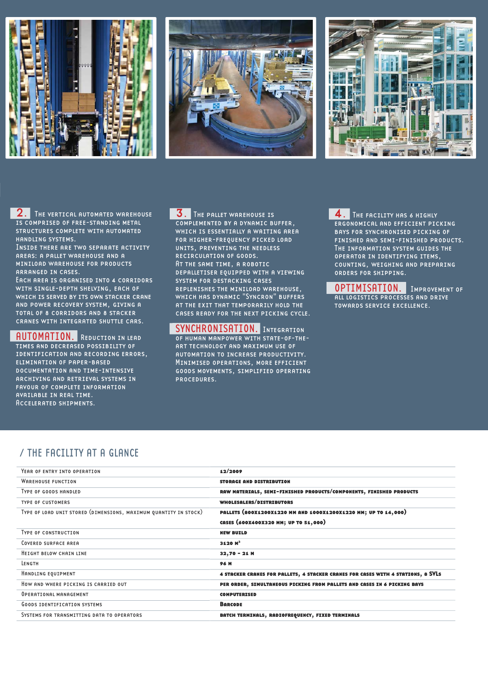





2. THE VERTICAL AUTOMATED WAREHOUSE is comprised of free-standing metal structures complete with automated handling systems.

Inside there are two separate activity areas: a pallet warehouse and a miniload warehouse for products arranged in cases.

EACH AREA IS ORGANISED INTO 4 CORRIDORS with single-depth shelving, each of which is served by its own stacker crane and power recovery system, giving a total of 8 corridors and 8 stacker cranes with integrated shuttle cars.

AUTOMATION. Reduction in lead times and decreased possibility of identification and recording errors, elimination of paper-based documentation and time-intensive archiving and retrieval systems in favour of complete information available in real time. Accelerated shipments.

**3.** The PALLET WAREHOUSE IS complemented by a dynamic buffer, which is essentially a waiting area for higher-frequency picked load units, preventing the needless recirculation of goods. At the same time, a robotic depalletiser equipped with a viewing system for destacking cases replenishes the miniload warehouse, which has dynamic "Syncron" buffers at the exit that temporarily hold the cases ready for the next picking cycle.

SYNCHRONISATION. INTEGRATION of human manpower with state-of-theart technology and maximum use of automation to increase productivity. Minimised operations, more efficient goods movements, simplified operating procedures.

4. The facility has 6 highly ergonomical and efficient picking bays for synchronised picking of finished and semi-finished products. THE INFORMATION SYSTEM GUIDES THE operator in identifying items, counting, weighing and preparing orders for shipping.

OPTIMISATION. Improvement of all logistics processes and drive towards service excellence.

## / THE FACILITY AT A GLANCE

| YEAR OF ENTRY INTO OPERATION                                     | 12/2009                                                                          |
|------------------------------------------------------------------|----------------------------------------------------------------------------------|
| <b>WARFHOUSE FUNCTION</b>                                        | <b>STORAGE AND DISTRIBUTION</b>                                                  |
| TYPE OF GOODS HANDLED                                            | RAW MATERIALS, SEMI-FINISHED PRODUCTS/COMPONENTS, FINISHED PRODUCTS              |
| <b>TYPE OF CUSTOMERS</b>                                         | WHOLESALERS/DISTRIBUTORS                                                         |
| TYPE OF LOAD UNIT STORED (DIMENSIONS, MAXIMUM QUANTITY IN STOCK) | PALLETS (800X1200X1220 MM AND 1000X1200X1220 MM; UP TO 14,000)                   |
|                                                                  | CASES (600X400X320 MM; UP TO 51,000)                                             |
| <b>TYPE OF CONSTRUCTION</b>                                      | <b>NEW BUILD</b>                                                                 |
| COVERED SURFACE AREA                                             | 3120 M <sup>2</sup>                                                              |
| HEIGHT BELOW CHAIN LINE                                          | $32,70 - 21$ M                                                                   |
| LENGTH                                                           | <b>96 M</b>                                                                      |
| HANDLING EQUIPMENT                                               | 4 STACKER CRANES FOR PALLETS, 4 STACKER CRANES FOR CASES WITH 4 STATIONS, 8 SVLS |
| HOW AND WHERE PICKING IS CARRIED OUT                             | PER ORDER, SIMULTANEOUS PICKING FROM PALLETS AND CASES IN 6 PICKING BAYS         |
| OPERATIONAL MANAGEMENT                                           | <b>COMPUTERISED</b>                                                              |
| <b>GOODS IDENTIFICATION SYSTEMS</b>                              | <b>BARCODE</b>                                                                   |
| SYSTEMS FOR TRANSMITTING DATA TO OPERATORS                       | BATCH TERMINALS, RADIOFREQUENCY, FIXED TERMINALS                                 |